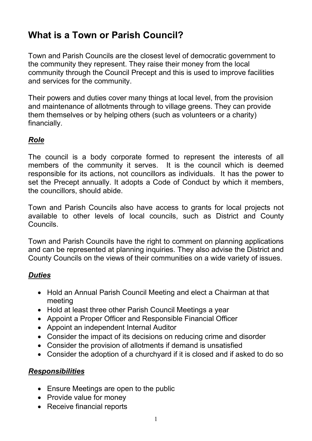# **What is a Town or Parish Council?**

Town and Parish Councils are the closest level of democratic government to the community they represent. They raise their money from the local community through the Council Precept and this is used to improve facilities and services for the community.

Their powers and duties cover many things at local level, from the provision and maintenance of allotments through to village greens. They can provide them themselves or by helping others (such as volunteers or a charity) financially.

### *Role*

The council is a body corporate formed to represent the interests of all members of the community it serves. It is the council which is deemed responsible for its actions, not councillors as individuals. It has the power to set the Precept annually. It adopts a Code of Conduct by which it members, the councillors, should abide.

Town and Parish Councils also have access to grants for local projects not available to other levels of local councils, such as District and County Councils.

Town and Parish Councils have the right to comment on planning applications and can be represented at planning inquiries. They also advise the District and County Councils on the views of their communities on a wide variety of issues.

### *Duties*

- Hold an Annual Parish Council Meeting and elect a Chairman at that meeting
- Hold at least three other Parish Council Meetings a year
- Appoint a Proper Officer and Responsible Financial Officer
- Appoint an independent Internal Auditor
- Consider the impact of its decisions on reducing crime and disorder
- Consider the provision of allotments if demand is unsatisfied
- Consider the adoption of a churchyard if it is closed and if asked to do so

#### *Responsibilities*

- Ensure Meetings are open to the public
- Provide value for money
- Receive financial reports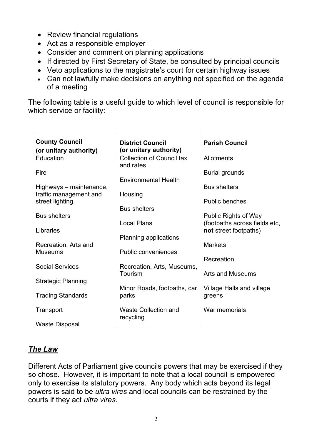- Review financial regulations
- Act as a responsible employer
- Consider and comment on planning applications
- If directed by First Secretary of State, be consulted by principal councils
- Veto applications to the magistrate's court for certain highway issues
- Can not lawfully make decisions on anything not specified on the agenda of a meeting

The following table is a useful guide to which level of council is responsible for which service or facility:

| <b>County Council</b><br>(or unitary authority) | <b>District Council</b><br>(or unitary authority) | <b>Parish Council</b>         |
|-------------------------------------------------|---------------------------------------------------|-------------------------------|
| Education                                       | <b>Collection of Council tax</b>                  | Allotments                    |
|                                                 | and rates                                         |                               |
| Fire                                            |                                                   | <b>Burial grounds</b>         |
|                                                 | <b>Environmental Health</b>                       |                               |
|                                                 |                                                   | <b>Bus shelters</b>           |
| Highways – maintenance,                         |                                                   |                               |
| traffic management and                          | Housing                                           | <b>Public benches</b>         |
| street lighting.                                |                                                   |                               |
|                                                 | <b>Bus shelters</b>                               |                               |
| <b>Bus shelters</b>                             |                                                   | <b>Public Rights of Way</b>   |
|                                                 | <b>Local Plans</b>                                | (footpaths across fields etc, |
| Libraries                                       |                                                   | not street footpaths)         |
|                                                 | Planning applications                             |                               |
| Recreation, Arts and                            |                                                   | <b>Markets</b>                |
| <b>Museums</b>                                  | <b>Public conveniences</b>                        |                               |
|                                                 |                                                   | Recreation                    |
| <b>Social Services</b>                          | Recreation, Arts, Museums,                        |                               |
|                                                 | Tourism                                           | Arts and Museums              |
| <b>Strategic Planning</b>                       |                                                   |                               |
|                                                 | Minor Roads, footpaths, car                       | Village Halls and village     |
| <b>Trading Standards</b>                        | parks                                             | greens                        |
|                                                 |                                                   |                               |
| Transport                                       | <b>Waste Collection and</b>                       | War memorials                 |
|                                                 | recycling                                         |                               |
| <b>Waste Disposal</b>                           |                                                   |                               |

### *The Law*

Different Acts of Parliament give councils powers that may be exercised if they so chose. However, it is important to note that a local council is empowered only to exercise its statutory powers. Any body which acts beyond its legal powers is said to be *ultra vires* and local councils can be restrained by the courts if they act *ultra vires*.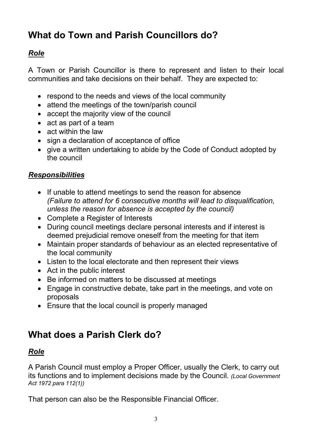# **What do Town and Parish Councillors do?**

## *Role*

A Town or Parish Councillor is there to represent and listen to their local communities and take decisions on their behalf. They are expected to:

- respond to the needs and views of the local community
- attend the meetings of the town/parish council
- accept the majority view of the council
- act as part of a team
- act within the law
- sign a declaration of acceptance of office
- give a written undertaking to abide by the Code of Conduct adopted by the council

### *Responsibilities*

- If unable to attend meetings to send the reason for absence *(Failure to attend for 6 consecutive months will lead to disqualification, unless the reason for absence is accepted by the council)*
- Complete a Register of Interests
- During council meetings declare personal interests and if interest is deemed prejudicial remove oneself from the meeting for that item
- Maintain proper standards of behaviour as an elected representative of the local community
- Listen to the local electorate and then represent their views
- Act in the public interest
- Be informed on matters to be discussed at meetings
- Engage in constructive debate, take part in the meetings, and vote on proposals
- Ensure that the local council is properly managed

## **What does a Parish Clerk do?**

### *Role*

A Parish Council must employ a Proper Officer, usually the Clerk, to carry out its functions and to implement decisions made by the Council. *(Local Government Act 1972 para 112(1))* 

That person can also be the Responsible Financial Officer.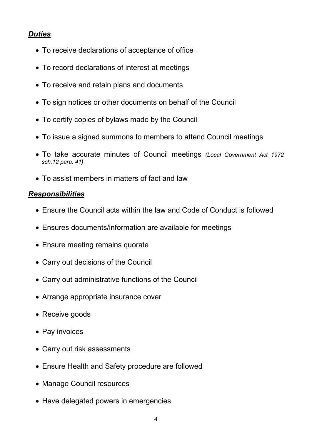### *Duties*

- To receive declarations of acceptance of office
- To record declarations of interest at meetings
- To receive and retain plans and documents
- To sign notices or other documents on behalf of the Council
- To certify copies of bylaws made by the Council
- To issue a signed summons to members to attend Council meetings
- To take accurate minutes of Council meetings *(Local Government Act 1972 sch.12 para. 41)*
- To assist members in matters of fact and law

### *Responsibilities*

- Ensure the Council acts within the law and Code of Conduct is followed
- Ensures documents/information are available for meetings
- Ensure meeting remains quorate
- Carry out decisions of the Council
- Carry out administrative functions of the Council
- Arrange appropriate insurance cover
- Receive goods
- Pay invoices
- Carry out risk assessments
- Ensure Health and Safety procedure are followed
- Manage Council resources
- Have delegated powers in emergencies